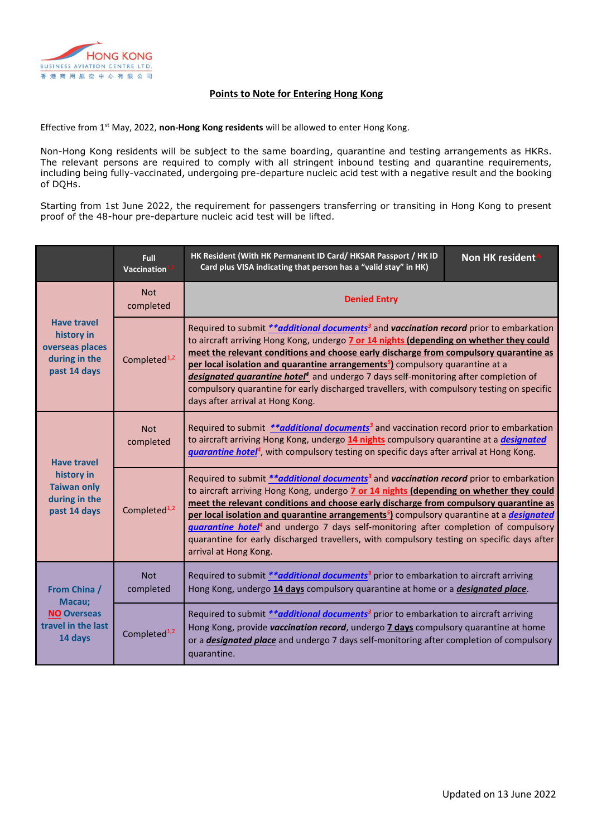

# **Points to Note for Entering Hong Kong**

Effective from 1st May, 2022, **non-Hong Kong residents** will be allowed to enter Hong Kong.

Non-Hong Kong residents will be subject to the same boarding, quarantine and testing arrangements as HKRs. The relevant persons are required to comply with all stringent inbound testing and quarantine requirements, including being fully-vaccinated, undergoing pre-departure nucleic acid test with a negative result and the booking of DQHs.

Starting from 1st June 2022, the requirement for passengers transferring or transiting in Hong Kong to present proof of the 48-hour pre-departure nucleic acid test will be lifted.

|                                                                                         | <b>Full</b><br>Vaccination | HK Resident (With HK Permanent ID Card/ HKSAR Passport / HK ID<br>Card plus VISA indicating that person has a "valid stay" in HK)                                                                                                                                                                                                                                                                                                                                                                                                                                                                                                                  | Non HK resident |
|-----------------------------------------------------------------------------------------|----------------------------|----------------------------------------------------------------------------------------------------------------------------------------------------------------------------------------------------------------------------------------------------------------------------------------------------------------------------------------------------------------------------------------------------------------------------------------------------------------------------------------------------------------------------------------------------------------------------------------------------------------------------------------------------|-----------------|
| <b>Have travel</b><br>history in<br>overseas places<br>during in the<br>past 14 days    | <b>Not</b><br>completed    | <b>Denied Entry</b>                                                                                                                                                                                                                                                                                                                                                                                                                                                                                                                                                                                                                                |                 |
|                                                                                         | Completed <sup>1,2</sup>   | Required to submit **additional documents <sup>3</sup> and vaccination record prior to embarkation<br>to aircraft arriving Hong Kong, undergo 7 or 14 nights (depending on whether they could<br>meet the relevant conditions and choose early discharge from compulsory quarantine as<br>per local isolation and quarantine arrangements <sup>5</sup> ) compulsory quarantine at a<br>designated quarantine hotel <sup>4</sup> and undergo 7 days self-monitoring after completion of<br>compulsory quarantine for early discharged travellers, with compulsory testing on specific<br>days after arrival at Hong Kong.                           |                 |
| <b>Have travel</b><br>history in<br><b>Taiwan only</b><br>during in the<br>past 14 days | <b>Not</b><br>completed    | Required to submit ** <b><i>additional documents</i></b> and vaccination record prior to embarkation<br>to aircraft arriving Hong Kong, undergo 14 nights compulsory quarantine at a <i>designated</i><br>guarantine hotel <sup>4</sup> , with compulsory testing on specific days after arrival at Hong Kong.                                                                                                                                                                                                                                                                                                                                     |                 |
|                                                                                         | Completed <sup>1,2</sup>   | Required to submit <i>**additional documents<sup>3</sup></i> and <i>vaccination record</i> prior to embarkation<br>to aircraft arriving Hong Kong, undergo 7 or 14 nights (depending on whether they could<br>meet the relevant conditions and choose early discharge from compulsory quarantine as<br>per local isolation and quarantine arrangements <sup>5</sup> ) compulsory quarantine at a <i>designated</i><br><b>quarantine hotel<sup>4</sup></b> and undergo 7 days self-monitoring after completion of compulsory<br>quarantine for early discharged travellers, with compulsory testing on specific days after<br>arrival at Hong Kong. |                 |
| From China /<br>Macau;<br><b>NO Overseas</b><br>travel in the last<br>14 days           | <b>Not</b><br>completed    | Required to submit ** additional documents <sup>3</sup> prior to embarkation to aircraft arriving<br>Hong Kong, undergo 14 days compulsory quarantine at home or a <i>designated place</i> .                                                                                                                                                                                                                                                                                                                                                                                                                                                       |                 |
|                                                                                         | Completed <sup>1,2</sup>   | Required to submit <i>**additional documents<sup>3</sup></i> prior to embarkation to aircraft arriving<br>Hong Kong, provide vaccination record, undergo 7 days compulsory quarantine at home<br>or a <b>designated place</b> and undergo 7 days self-monitoring after completion of compulsory<br>quarantine.                                                                                                                                                                                                                                                                                                                                     |                 |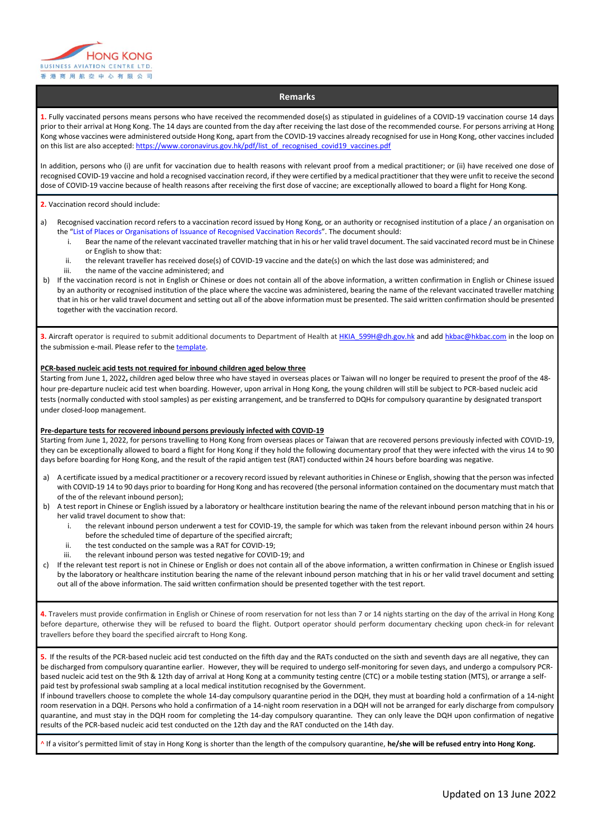

## **Remarks**

**1.** Fully vaccinated persons means persons who have received the recommended dose(s) as stipulated in guidelines of a COVID-19 vaccination course 14 days prior to their arrival at Hong Kong. The 14 days are counted from the day after receiving the last dose of the recommended course. For persons arriving at Hong Kong whose vaccines were administered outside Hong Kong, apart from the COVID-19 vaccines already recognised for use in Hong Kong, other vaccines included on this list are also accepted: [https://www.coronavirus.gov.hk/pdf/list\\_of\\_recognised\\_covid19\\_vaccines.pdf](https://www.coronavirus.gov.hk/pdf/list_of_recognised_covid19_vaccines.pdf)

In addition, persons who (i) are unfit for vaccination due to health reasons with relevant proof from a medical practitioner; or (ii) have received one dose of recognised COVID-19 vaccine and hold a recognised vaccination record, if they were certified by a medical practitioner that they were unfit to receive the second dose of COVID-19 vaccine because of health reasons after receiving the first dose of vaccine; are exceptionally allowed to board a flight for Hong Kong.

#### **2.** Vaccination record should include:

- a) Recognised vaccination record refers to a vaccination record issued by Hong Kong, or an authority or recognised institution of a place / an organisation on the "[List of Places or Organisations of Issuance of Recognised Vaccination Records](https://www.coronavirus.gov.hk/pdf/places_of_issuance_recognised_vaccination_records.pdf)". The document should:
	- i. Bear the name of the relevant vaccinated traveller matching that in his or her valid travel document. The said vaccinated record must be in Chinese or English to show that:
	- ii. the relevant traveller has received dose(s) of COVID-19 vaccine and the date(s) on which the last dose was administered; and
	- iii. the name of the vaccine administered; and
- b) If the vaccination record is not in English or Chinese or does not contain all of the above information, a written confirmation in English or Chinese issued by an authority or recognised institution of the place where the vaccine was administered, bearing the name of the relevant vaccinated traveller matching that in his or her valid travel document and setting out all of the above information must be presented. The said written confirmation should be presented together with the vaccination record.

**3.** Aircraft operator is required to submit additional documents to Department of Health at [HKIA\\_599H@dh.gov.hk](mailto:HKIA_599H@dh.gov.hk) and ad[d hkbac@hkbac.com](mailto:hkbac@hkbac.com) in the loop on the submission e-mail. Please refer to th[e template.](https://www.coronavirus.gov.hk/pdf/inbound/Airline_submission_to_DH_under_Cap.599H_email_template.pdf)

#### **PCR-based nucleic acid tests not required for inbound children aged below three**

Starting from June 1, 2022**,** children aged below three who have stayed in overseas places or Taiwan will no longer be required to present the proof of the 48 hour pre-departure nucleic acid test when boarding. However, upon arrival in Hong Kong, the young children will still be subject to PCR-based nucleic acid tests (normally conducted with stool samples) as per existing arrangement, and be transferred to DQHs for compulsory quarantine by designated transport under closed-loop management.

### **Pre-departure tests for recovered inbound persons previously infected with COVID-19**

Starting from June 1, 2022, for persons travelling to Hong Kong from overseas places or Taiwan that are recovered persons previously infected with COVID-19, they can be exceptionally allowed to board a flight for Hong Kong if they hold the following documentary proof that they were infected with the virus 14 to 90 days before boarding for Hong Kong, and the result of the rapid antigen test (RAT) conducted within 24 hours before boarding was negative.

- a) A certificate issued by a medical practitioner or a recovery record issued by relevant authorities in Chinese or English, showing that the person was infected with COVID-19 14 to 90 days prior to boarding for Hong Kong and has recovered (the personal information contained on the documentary must match that of the of the relevant inbound person);
- b) A test report in Chinese or English issued by a laboratory or healthcare institution bearing the name of the relevant inbound person matching that in his or her valid travel document to show that:
	- i. the relevant inbound person underwent a test for COVID-19, the sample for which was taken from the relevant inbound person within 24 hours before the scheduled time of departure of the specified aircraft;
	- ii. the test conducted on the sample was a RAT for COVID-19;
	- iii. the relevant inbound person was tested negative for COVID-19; and
- c) If the relevant test report is not in Chinese or English or does not contain all of the above information, a written confirmation in Chinese or English issued by the laboratory or healthcare institution bearing the name of the relevant inbound person matching that in his or her valid travel document and setting out all of the above information. The said written confirmation should be presented together with the test report.

**4.** Travelers must provide confirmation in English or Chinese of room reservation for not less than 7 or 14 nights starting on the day of the arrival in Hong Kong before departure, otherwise they will be refused to board the flight. Outport operator should perform documentary checking upon check-in for relevant travellers before they board the specified aircraft to Hong Kong.

**5.** If the results of the PCR-based nucleic acid test conducted on the fifth day and the RATs conducted on the sixth and seventh days are all negative, they can be discharged from compulsory quarantine earlier. However, they will be required to undergo self-monitoring for seven days, and undergo a compulsory PCRbased nucleic acid test on the 9th & 12th day of arrival at Hong Kong at a community testing centre (CTC) or a mobile testing station (MTS), or arrange a selfpaid test by professional swab sampling at a local medical institution recognised by the Government.

If inbound travellers choose to complete the whole 14-day compulsory quarantine period in the DQH, they must at boarding hold a confirmation of a 14-night room reservation in a DQH. Persons who hold a confirmation of a 14-night room reservation in a DQH will not be arranged for early discharge from compulsory quarantine, and must stay in the DQH room for completing the 14-day compulsory quarantine. They can only leave the DQH upon confirmation of negative results of the PCR-based nucleic acid test conducted on the 12th day and the RAT conducted on the 14th day.

^ If a visitor's permitted limit of stay in Hong Kong is shorter than the length of the compulsory quarantine, **he/she will be refused entry into Hong Kong.**